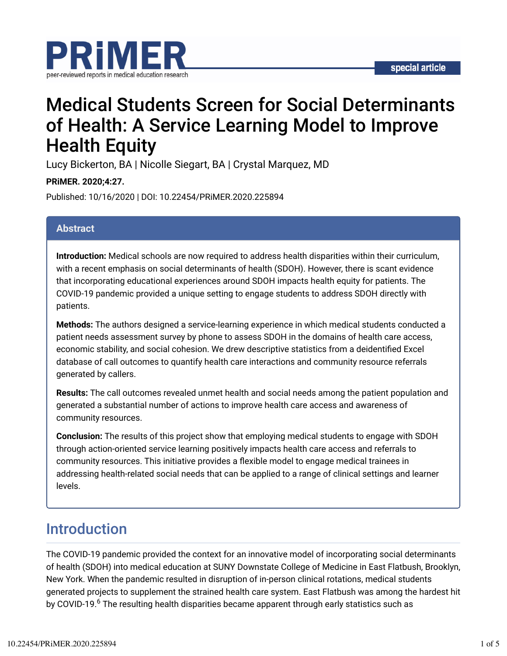

# Medical Students Screen for Social Determinants of Health: A Service Learning Model to Improve Health Equity

Lucy Bickerton, BA | Nicolle Siegart, BA | Crystal Marquez, MD

**PRiMER. 2020;4:27.**

Published: 10/16/2020 | DOI: 10.22454/PRiMER.2020.225894

### **Abstract**

**Introduction:** Medical schools are now required to address health disparities within their curriculum, with a recent emphasis on social determinants of health (SDOH). However, there is scant evidence that incorporating educational experiences around SDOH impacts health equity for patients. The COVID-19 pandemic provided a unique setting to engage students to address SDOH directly with patients.

**Methods:** The authors designed a service-learning experience in which medical students conducted a patient needs assessment survey by phone to assess SDOH in the domains of health care access, economic stability, and social cohesion. We drew descriptive statistics from a deidentified Excel database of call outcomes to quantify health care interactions and community resource referrals generated by callers.

**Results:** The call outcomes revealed unmet health and social needs among the patient population and generated a substantial number of actions to improve health care access and awareness of community resources.

**Conclusion:** The results of this project show that employing medical students to engage with SDOH through action-oriented service learning positively impacts health care access and referrals to community resources. This initiative provides a flexible model to engage medical trainees in addressing health-related social needs that can be applied to a range of clinical settings and learner levels.

## Introduction

The COVID-19 pandemic provided the context for an innovative model of incorporating social determinants of health (SDOH) into medical education at SUNY Downstate College of Medicine in East Flatbush, Brooklyn, New York. When the pandemic resulted in disruption of in-person clinical rotations, medical students generated projects to supplement the strained health care system. East Flatbush was among the hardest hit by COVID-19.<sup>6</sup> The resulting health disparities became apparent through early statistics such as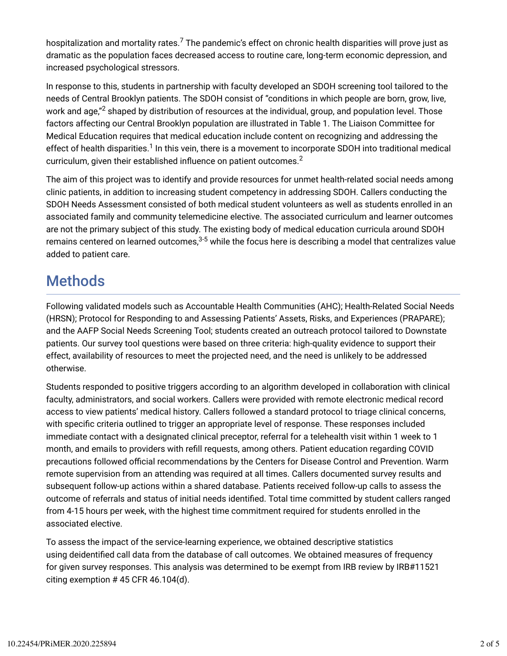hospitalization and mortality rates. $^7$  The pandemic's effect on chronic health disparities will prove just as dramatic as the population faces decreased access to routine care, long-term economic depression, and increased psychological stressors.

In response to this, students in partnership with faculty developed an SDOH screening tool tailored to the needs of Central Brooklyn patients. The SDOH consist of "conditions in which people are born, grow, live, work and age," $^2$  shaped by distribution of resources at the individual, group, and population level. Those factors affecting our Central Brooklyn population are illustrated in Table 1. The Liaison Committee for Medical Education requires that medical education include content on recognizing and addressing the effect of health disparities. $^1$  In this vein, there is a movement to incorporate SDOH into traditional medical curriculum, given their established influence on patient outcomes.<sup>2</sup>

The aim of this project was to identify and provide resources for unmet health-related social needs among clinic patients, in addition to increasing student competency in addressing SDOH. Callers conducting the SDOH Needs Assessment consisted of both medical student volunteers as well as students enrolled in an associated family and community telemedicine elective. The associated curriculum and learner outcomes are not the primary subject of this study. The existing body of medical education curricula around SDOH remains centered on learned outcomes, $^{3\text{-}5}$  while the focus here is describing a model that centralizes value added to patient care.

## Methods

Following validated models such as Accountable Health Communities (AHC); Health-Related Social Needs (HRSN); Protocol for Responding to and Assessing Patients' Assets, Risks, and Experiences (PRAPARE); and the AAFP Social Needs Screening Tool; students created an outreach protocol tailored to Downstate patients. Our survey tool questions were based on three criteria: high-quality evidence to support their effect, availability of resources to meet the projected need, and the need is unlikely to be addressed otherwise.

Students responded to positive triggers according to an algorithm developed in collaboration with clinical faculty, administrators, and social workers. Callers were provided with remote electronic medical record access to view patients' medical history. Callers followed a standard protocol to triage clinical concerns, with specific criteria outlined to trigger an appropriate level of response. These responses included immediate contact with a designated clinical preceptor, referral for a telehealth visit within 1 week to 1 month, and emails to providers with refill requests, among others. Patient education regarding COVID precautions followed official recommendations by the Centers for Disease Control and Prevention. Warm remote supervision from an attending was required at all times. Callers documented survey results and subsequent follow-up actions within a shared database. Patients received follow-up calls to assess the outcome of referrals and status of initial needs identified. Total time committed by student callers ranged from 4-15 hours per week, with the highest time commitment required for students enrolled in the associated elective.

To assess the impact of the service-learning experience, we obtained descriptive statistics using deidentified call data from the database of call outcomes. We obtained measures of frequency for given survey responses. This analysis was determined to be exempt from IRB review by IRB#11521 citing exemption  $#$  45 CFR 46.104(d).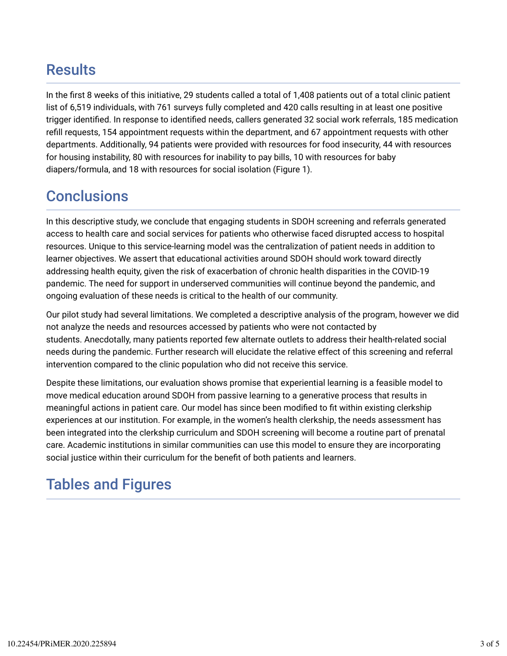## **Results**

In the first 8 weeks of this initiative, 29 students called a total of 1,408 patients out of a total clinic patient list of 6,519 individuals, with 761 surveys fully completed and 420 calls resulting in at least one positive trigger identified. In response to identified needs, callers generated 32 social work referrals, 185 medication refill requests, 154 appointment requests within the department, and 67 appointment requests with other departments. Additionally, 94 patients were provided with resources for food insecurity, 44 with resources for housing instability, 80 with resources for inability to pay bills, 10 with resources for baby diapers/formula, and 18 with resources for social isolation (Figure 1).

## **Conclusions**

In this descriptive study, we conclude that engaging students in SDOH screening and referrals generated access to health care and social services for patients who otherwise faced disrupted access to hospital resources. Unique to this service-learning model was the centralization of patient needs in addition to learner objectives. We assert that educational activities around SDOH should work toward directly addressing health equity, given the risk of exacerbation of chronic health disparities in the COVID-19 pandemic. The need for support in underserved communities will continue beyond the pandemic, and ongoing evaluation of these needs is critical to the health of our community.

Our pilot study had several limitations. We completed a descriptive analysis of the program, however we did not analyze the needs and resources accessed by patients who were not contacted by students. Anecdotally, many patients reported few alternate outlets to address their health-related social needs during the pandemic. Further research will elucidate the relative effect of this screening and referral intervention compared to the clinic population who did not receive this service.

Despite these limitations, our evaluation shows promise that experiential learning is a feasible model to move medical education around SDOH from passive learning to a generative process that results in meaningful actions in patient care. Our model has since been modified to fit within existing clerkship experiences at our institution. For example, in the women's health clerkship, the needs assessment has been integrated into the clerkship curriculum and SDOH screening will become a routine part of prenatal care. Academic institutions in similar communities can use this model to ensure they are incorporating social justice within their curriculum for the benefit of both patients and learners.

## Tables and Figures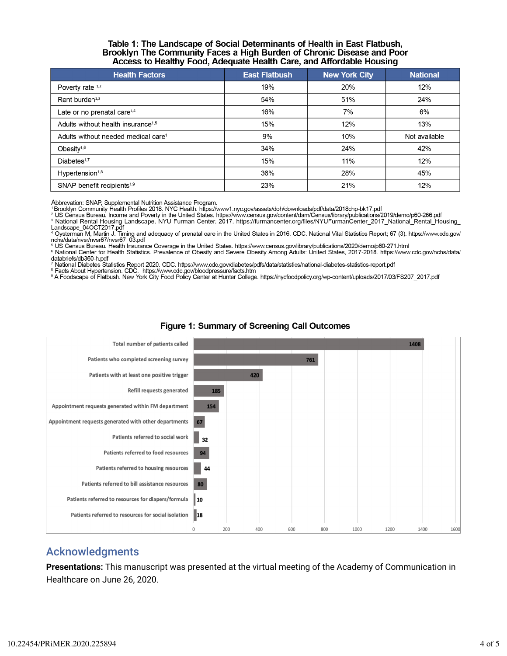#### Table 1: The Landscape of Social Determinants of Health in East Flatbush, Brooklyn The Community Faces a High Burden of Chronic Disease and Poor Access to Healthy Food, Adequate Health Care, and Affordable Housing

| <b>Health Factors</b>                           | <b>East Flatbush</b> | <b>New York City</b> | <b>National</b> |
|-------------------------------------------------|----------------------|----------------------|-----------------|
| Poverty rate 1,2                                | 19%                  | 20%                  | 12%             |
| Rent burden <sup>1,3</sup>                      | 54%                  | 51%                  | 24%             |
| Late or no prenatal care <sup>1,4</sup>         | 16%                  | 7%                   | 6%              |
| Adults without health insurance <sup>1,5</sup>  | 15%                  | 12%                  | 13%             |
| Adults without needed medical care <sup>1</sup> | 9%                   | 10%                  | Not available   |
| Obesity $1,6$                                   | 34%                  | 24%                  | 42%             |
| Diabetes <sup>1,7</sup>                         | 15%                  | 11%                  | 12%             |
| Hypertension <sup>1,8</sup>                     | 36%                  | 28%                  | 45%             |
| SNAP benefit recipients <sup>1,9</sup>          | 23%                  | 21%                  | 12%             |

Abbrevation: SNAP, Supplemental Nutrition Assistance Program.<br>1Brooklyn Community Health Profiles 2018. NYC Health. https://www1.nyc.gov/assets/doh/downloads/pdf/data/2018chp-bk17.pdf<br><sup>2</sup> US Census Bureau. Income and Pover

3 National Rental Housing Landscape. NYU Furman Center. 2017. https://furmancenter.org/files/NYUFurmanCenter\_2017\_National\_Rental\_Housing\_ Landscape\_04OCT2017.pdf

4 Oysterman M, Martin J. Timing and adequacy of prenatal care in the United States in 2016. CDC. National Vital Statistics Report; 67 (3). https://www.cdc.gov/ Dysteman M, Martin C. Timing and<br>nchs/data/nvsr/nvsr67/nvsr67\_03.pdf

ncristation in the University Tourist Coverage in the United States. https://www.census.gov/library/publications/2020/demo/p60-271.html<br><sup>6</sup> National Center for Health Statistics. Prevalence of Obesity and Severe Obesity A databriefs/db360-h.pdf

Thational Diabetes Statistics Report 2020. CDC. https://www.cdc.gov/diabetes/pdfs/data/statistics/national-diabetes-statistics-report.pdf<br>® Facts About Hypertension. CDC. https://www.cdc.gov/bloodpressure/facts.htm<br>® A Foo



#### **Figure 1: Summary of Screening Call Outcomes**

### Acknowledgments

**Presentations:** This manuscript was presented at the virtual meeting of the Academy of Communication in Healthcare on June 26, 2020.